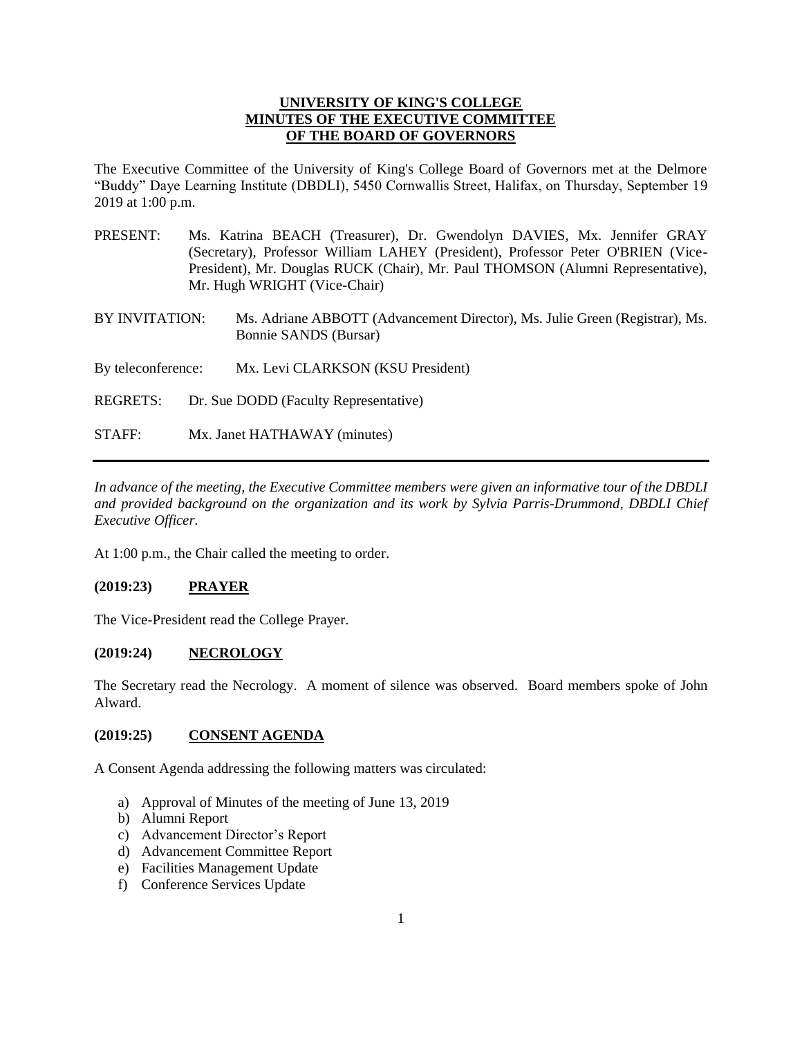## **UNIVERSITY OF KING'S COLLEGE MINUTES OF THE EXECUTIVE COMMITTEE OF THE BOARD OF GOVERNORS**

The Executive Committee of the University of King's College Board of Governors met at the Delmore "Buddy" Daye Learning Institute (DBDLI), 5450 Cornwallis Street, Halifax, on Thursday, September 19 2019 at 1:00 p.m.

| PRESENT: | Ms. Katrina BEACH (Treasurer), Dr. Gwendolyn DAVIES, Mx. Jennifer GRAY           |
|----------|----------------------------------------------------------------------------------|
|          | (Secretary), Professor William LAHEY (President), Professor Peter O'BRIEN (Vice- |
|          | President), Mr. Douglas RUCK (Chair), Mr. Paul THOMSON (Alumni Representative),  |
|          | Mr. Hugh WRIGHT (Vice-Chair)                                                     |
|          |                                                                                  |

BY INVITATION: Ms. Adriane ABBOTT (Advancement Director), Ms. Julie Green (Registrar), Ms. Bonnie SANDS (Bursar)

By teleconference: Mx. Levi CLARKSON (KSU President)

- REGRETS: Dr. Sue DODD (Faculty Representative)
- STAFF: Mx. Janet HATHAWAY (minutes)

*In advance of the meeting, the Executive Committee members were given an informative tour of the DBDLI and provided background on the organization and its work by Sylvia Parris-Drummond, DBDLI Chief Executive Officer.*

At 1:00 p.m., the Chair called the meeting to order.

## **(2019:23) PRAYER**

The Vice-President read the College Prayer.

## **(2019:24) NECROLOGY**

The Secretary read the Necrology. A moment of silence was observed. Board members spoke of John Alward.

#### **(2019:25) CONSENT AGENDA**

A Consent Agenda addressing the following matters was circulated:

- a) Approval of Minutes of the meeting of June 13, 2019
- b) Alumni Report
- c) Advancement Director's Report
- d) Advancement Committee Report
- e) Facilities Management Update
- f) Conference Services Update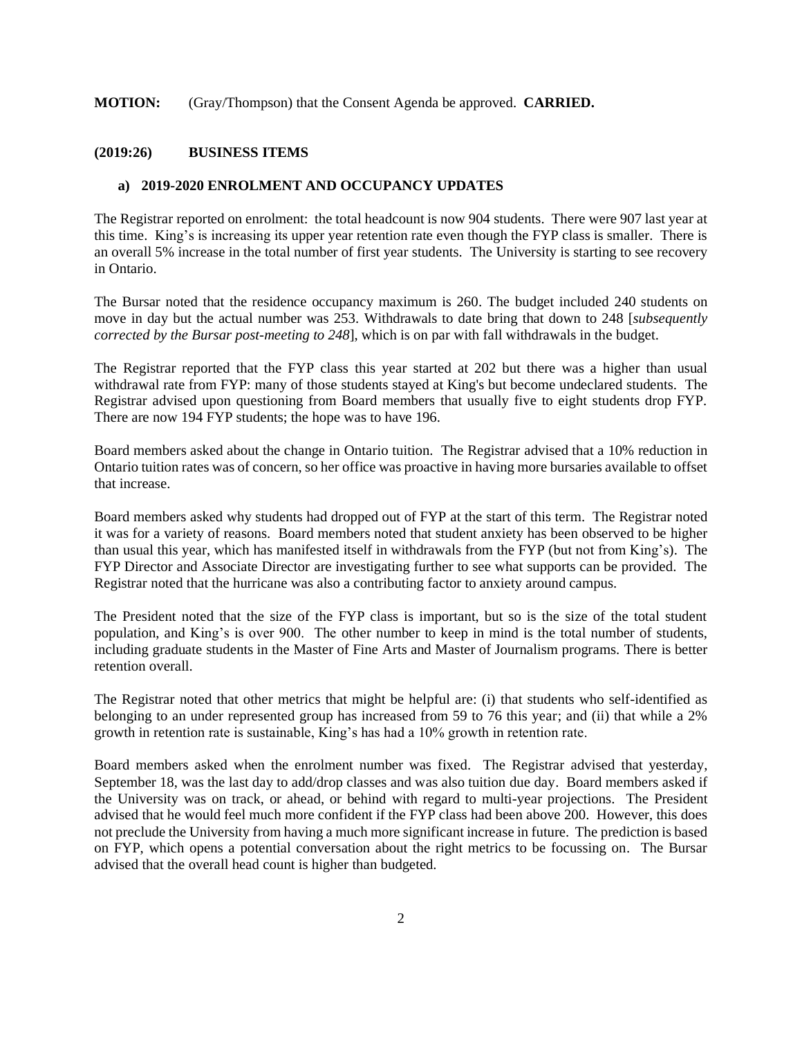#### **MOTION:** (Gray/Thompson) that the Consent Agenda be approved. **CARRIED.**

#### **(2019:26) BUSINESS ITEMS**

#### **a) 2019-2020 ENROLMENT AND OCCUPANCY UPDATES**

The Registrar reported on enrolment: the total headcount is now 904 students. There were 907 last year at this time. King's is increasing its upper year retention rate even though the FYP class is smaller. There is an overall 5% increase in the total number of first year students. The University is starting to see recovery in Ontario.

The Bursar noted that the residence occupancy maximum is 260. The budget included 240 students on move in day but the actual number was 253. Withdrawals to date bring that down to 248 [*subsequently corrected by the Bursar post-meeting to 248*], which is on par with fall withdrawals in the budget.

The Registrar reported that the FYP class this year started at 202 but there was a higher than usual withdrawal rate from FYP: many of those students stayed at King's but become undeclared students. The Registrar advised upon questioning from Board members that usually five to eight students drop FYP. There are now 194 FYP students; the hope was to have 196.

Board members asked about the change in Ontario tuition. The Registrar advised that a 10% reduction in Ontario tuition rates was of concern, so her office was proactive in having more bursaries available to offset that increase.

Board members asked why students had dropped out of FYP at the start of this term. The Registrar noted it was for a variety of reasons. Board members noted that student anxiety has been observed to be higher than usual this year, which has manifested itself in withdrawals from the FYP (but not from King's). The FYP Director and Associate Director are investigating further to see what supports can be provided. The Registrar noted that the hurricane was also a contributing factor to anxiety around campus.

The President noted that the size of the FYP class is important, but so is the size of the total student population, and King's is over 900. The other number to keep in mind is the total number of students, including graduate students in the Master of Fine Arts and Master of Journalism programs. There is better retention overall.

The Registrar noted that other metrics that might be helpful are: (i) that students who self-identified as belonging to an under represented group has increased from 59 to 76 this year; and (ii) that while a 2% growth in retention rate is sustainable, King's has had a 10% growth in retention rate.

Board members asked when the enrolment number was fixed. The Registrar advised that yesterday, September 18, was the last day to add/drop classes and was also tuition due day. Board members asked if the University was on track, or ahead, or behind with regard to multi-year projections. The President advised that he would feel much more confident if the FYP class had been above 200. However, this does not preclude the University from having a much more significant increase in future. The prediction is based on FYP, which opens a potential conversation about the right metrics to be focussing on. The Bursar advised that the overall head count is higher than budgeted.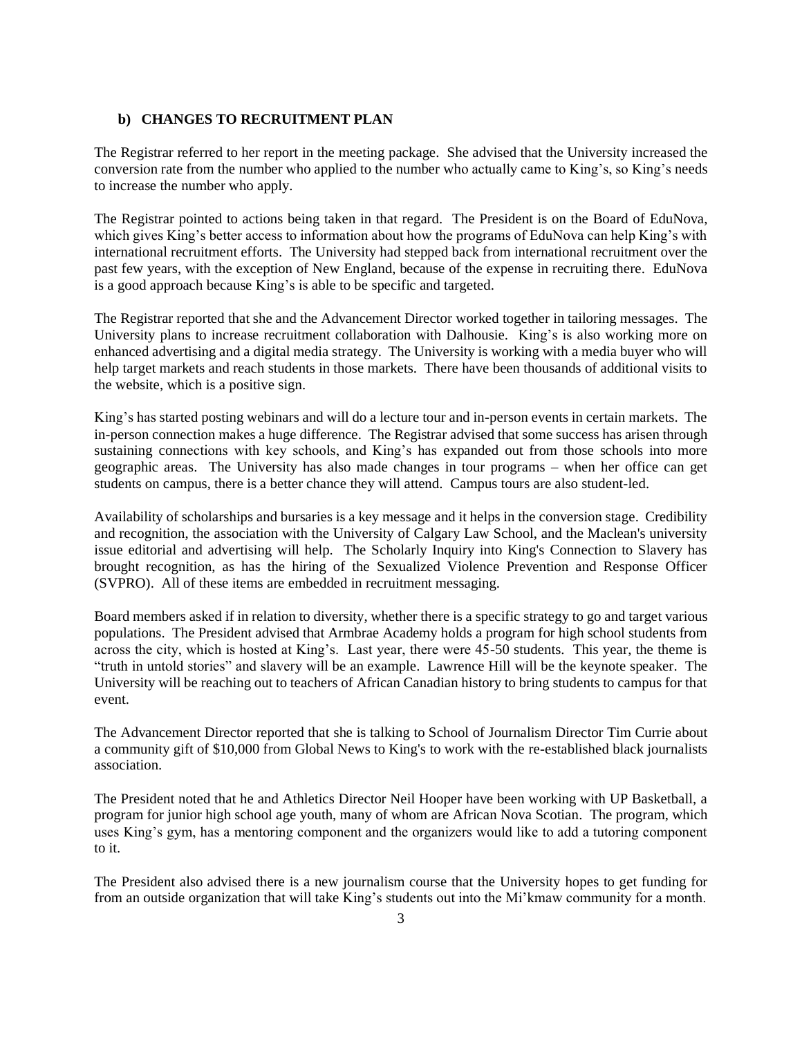#### **b) CHANGES TO RECRUITMENT PLAN**

The Registrar referred to her report in the meeting package. She advised that the University increased the conversion rate from the number who applied to the number who actually came to King's, so King's needs to increase the number who apply.

The Registrar pointed to actions being taken in that regard. The President is on the Board of EduNova, which gives King's better access to information about how the programs of EduNova can help King's with international recruitment efforts. The University had stepped back from international recruitment over the past few years, with the exception of New England, because of the expense in recruiting there. EduNova is a good approach because King's is able to be specific and targeted.

The Registrar reported that she and the Advancement Director worked together in tailoring messages. The University plans to increase recruitment collaboration with Dalhousie. King's is also working more on enhanced advertising and a digital media strategy. The University is working with a media buyer who will help target markets and reach students in those markets. There have been thousands of additional visits to the website, which is a positive sign.

King's has started posting webinars and will do a lecture tour and in-person events in certain markets. The in-person connection makes a huge difference. The Registrar advised that some success has arisen through sustaining connections with key schools, and King's has expanded out from those schools into more geographic areas. The University has also made changes in tour programs – when her office can get students on campus, there is a better chance they will attend. Campus tours are also student-led.

Availability of scholarships and bursaries is a key message and it helps in the conversion stage. Credibility and recognition, the association with the University of Calgary Law School, and the Maclean's university issue editorial and advertising will help. The Scholarly Inquiry into King's Connection to Slavery has brought recognition, as has the hiring of the Sexualized Violence Prevention and Response Officer (SVPRO). All of these items are embedded in recruitment messaging.

Board members asked if in relation to diversity, whether there is a specific strategy to go and target various populations. The President advised that Armbrae Academy holds a program for high school students from across the city, which is hosted at King's. Last year, there were 45-50 students. This year, the theme is "truth in untold stories" and slavery will be an example. Lawrence Hill will be the keynote speaker. The University will be reaching out to teachers of African Canadian history to bring students to campus for that event.

The Advancement Director reported that she is talking to School of Journalism Director Tim Currie about a community gift of \$10,000 from Global News to King's to work with the re-established black journalists association.

The President noted that he and Athletics Director Neil Hooper have been working with UP Basketball, a program for junior high school age youth, many of whom are African Nova Scotian. The program, which uses King's gym, has a mentoring component and the organizers would like to add a tutoring component to it.

The President also advised there is a new journalism course that the University hopes to get funding for from an outside organization that will take King's students out into the Mi'kmaw community for a month.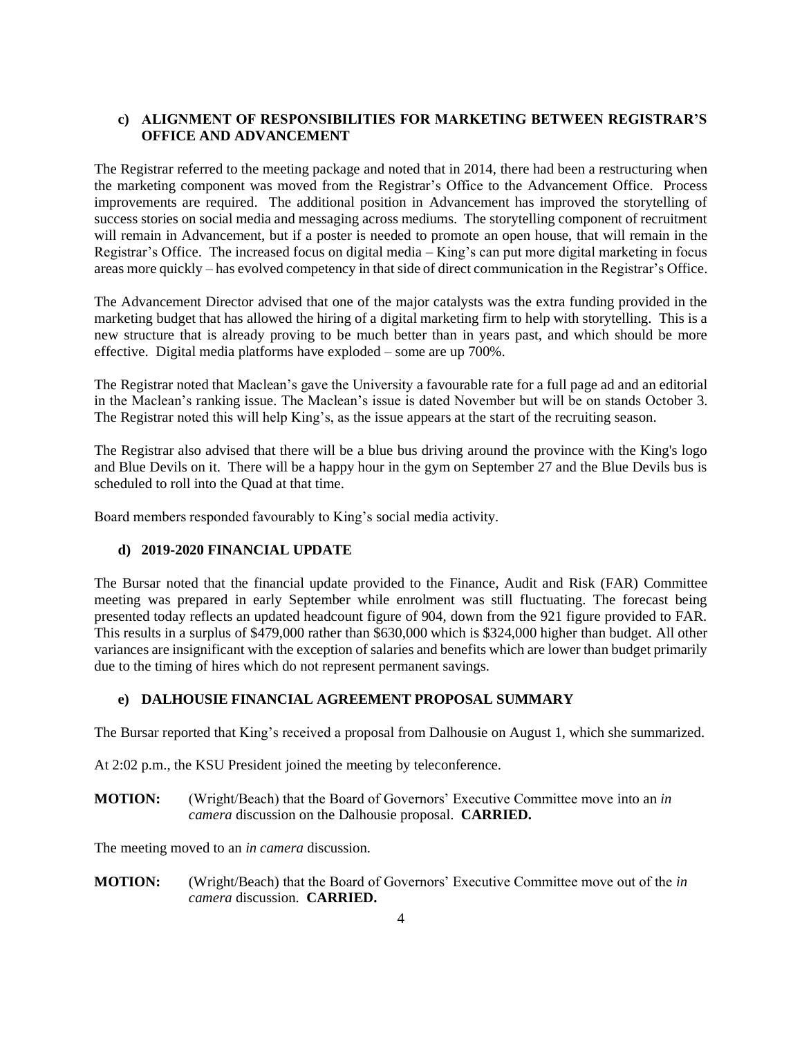## **c) ALIGNMENT OF RESPONSIBILITIES FOR MARKETING BETWEEN REGISTRAR'S OFFICE AND ADVANCEMENT**

The Registrar referred to the meeting package and noted that in 2014, there had been a restructuring when the marketing component was moved from the Registrar's Office to the Advancement Office. Process improvements are required. The additional position in Advancement has improved the storytelling of success stories on social media and messaging across mediums. The storytelling component of recruitment will remain in Advancement, but if a poster is needed to promote an open house, that will remain in the Registrar's Office. The increased focus on digital media – King's can put more digital marketing in focus areas more quickly – has evolved competency in that side of direct communication in the Registrar's Office.

The Advancement Director advised that one of the major catalysts was the extra funding provided in the marketing budget that has allowed the hiring of a digital marketing firm to help with storytelling. This is a new structure that is already proving to be much better than in years past, and which should be more effective. Digital media platforms have exploded – some are up 700%.

The Registrar noted that Maclean's gave the University a favourable rate for a full page ad and an editorial in the Maclean's ranking issue. The Maclean's issue is dated November but will be on stands October 3. The Registrar noted this will help King's, as the issue appears at the start of the recruiting season.

The Registrar also advised that there will be a blue bus driving around the province with the King's logo and Blue Devils on it. There will be a happy hour in the gym on September 27 and the Blue Devils bus is scheduled to roll into the Quad at that time.

Board members responded favourably to King's social media activity.

## **d) 2019-2020 FINANCIAL UPDATE**

The Bursar noted that the financial update provided to the Finance, Audit and Risk (FAR) Committee meeting was prepared in early September while enrolment was still fluctuating. The forecast being presented today reflects an updated headcount figure of 904, down from the 921 figure provided to FAR. This results in a surplus of \$479,000 rather than \$630,000 which is \$324,000 higher than budget. All other variances are insignificant with the exception of salaries and benefits which are lower than budget primarily due to the timing of hires which do not represent permanent savings.

## **e) DALHOUSIE FINANCIAL AGREEMENT PROPOSAL SUMMARY**

The Bursar reported that King's received a proposal from Dalhousie on August 1, which she summarized.

At 2:02 p.m., the KSU President joined the meeting by teleconference.

**MOTION:** (Wright/Beach) that the Board of Governors' Executive Committee move into an *in camera* discussion on the Dalhousie proposal. **CARRIED.**

The meeting moved to an *in camera* discussion.

**MOTION:** (Wright/Beach) that the Board of Governors' Executive Committee move out of the *in camera* discussion. **CARRIED.**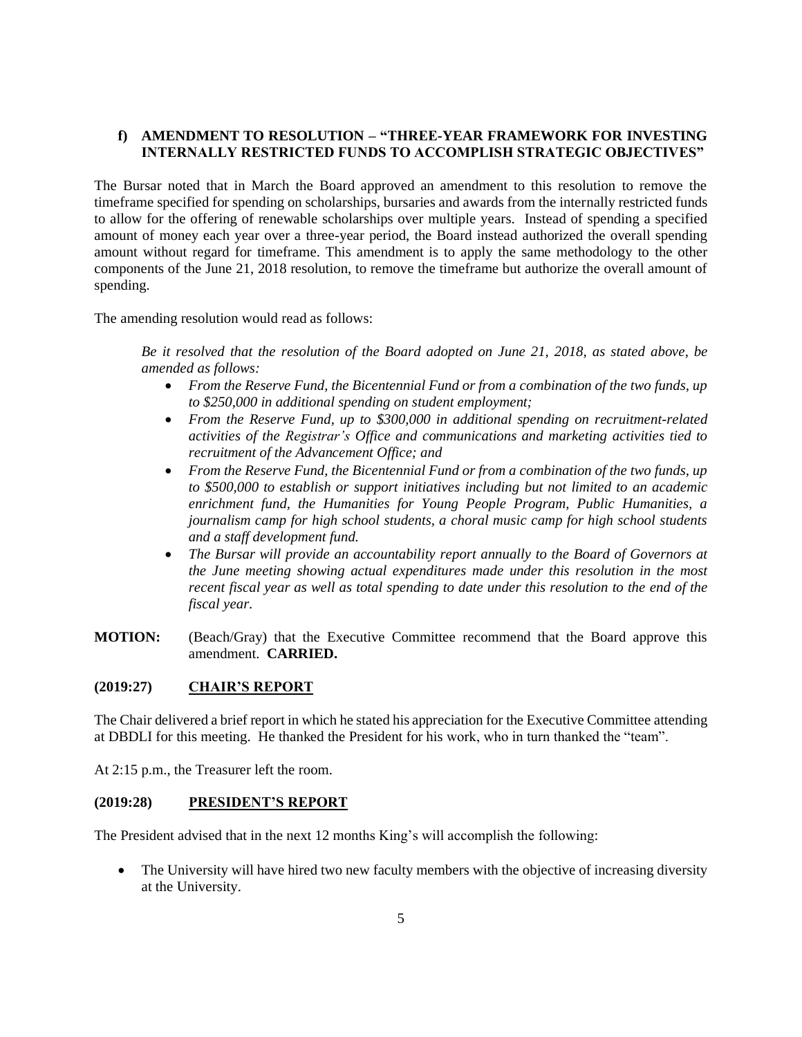## **f) AMENDMENT TO RESOLUTION – "THREE-YEAR FRAMEWORK FOR INVESTING INTERNALLY RESTRICTED FUNDS TO ACCOMPLISH STRATEGIC OBJECTIVES"**

The Bursar noted that in March the Board approved an amendment to this resolution to remove the timeframe specified for spending on scholarships, bursaries and awards from the internally restricted funds to allow for the offering of renewable scholarships over multiple years. Instead of spending a specified amount of money each year over a three-year period, the Board instead authorized the overall spending amount without regard for timeframe. This amendment is to apply the same methodology to the other components of the June 21, 2018 resolution, to remove the timeframe but authorize the overall amount of spending.

The amending resolution would read as follows:

*Be it resolved that the resolution of the Board adopted on June 21, 2018, as stated above, be amended as follows:*

- *From the Reserve Fund, the Bicentennial Fund or from a combination of the two funds, up to \$250,000 in additional spending on student employment;*
- *From the Reserve Fund, up to \$300,000 in additional spending on recruitment-related activities of the Registrar's Office and communications and marketing activities tied to recruitment of the Advancement Office; and*
- *From the Reserve Fund, the Bicentennial Fund or from a combination of the two funds, up to \$500,000 to establish or support initiatives including but not limited to an academic enrichment fund, the Humanities for Young People Program, Public Humanities, a journalism camp for high school students, a choral music camp for high school students and a staff development fund.*
- *The Bursar will provide an accountability report annually to the Board of Governors at the June meeting showing actual expenditures made under this resolution in the most recent fiscal year as well as total spending to date under this resolution to the end of the fiscal year.*
- **MOTION:** (Beach/Gray) that the Executive Committee recommend that the Board approve this amendment. **CARRIED.**

#### **(2019:27) CHAIR'S REPORT**

The Chair delivered a brief report in which he stated his appreciation for the Executive Committee attending at DBDLI for this meeting. He thanked the President for his work, who in turn thanked the "team".

At 2:15 p.m., the Treasurer left the room.

#### **(2019:28) PRESIDENT'S REPORT**

The President advised that in the next 12 months King's will accomplish the following:

• The University will have hired two new faculty members with the objective of increasing diversity at the University.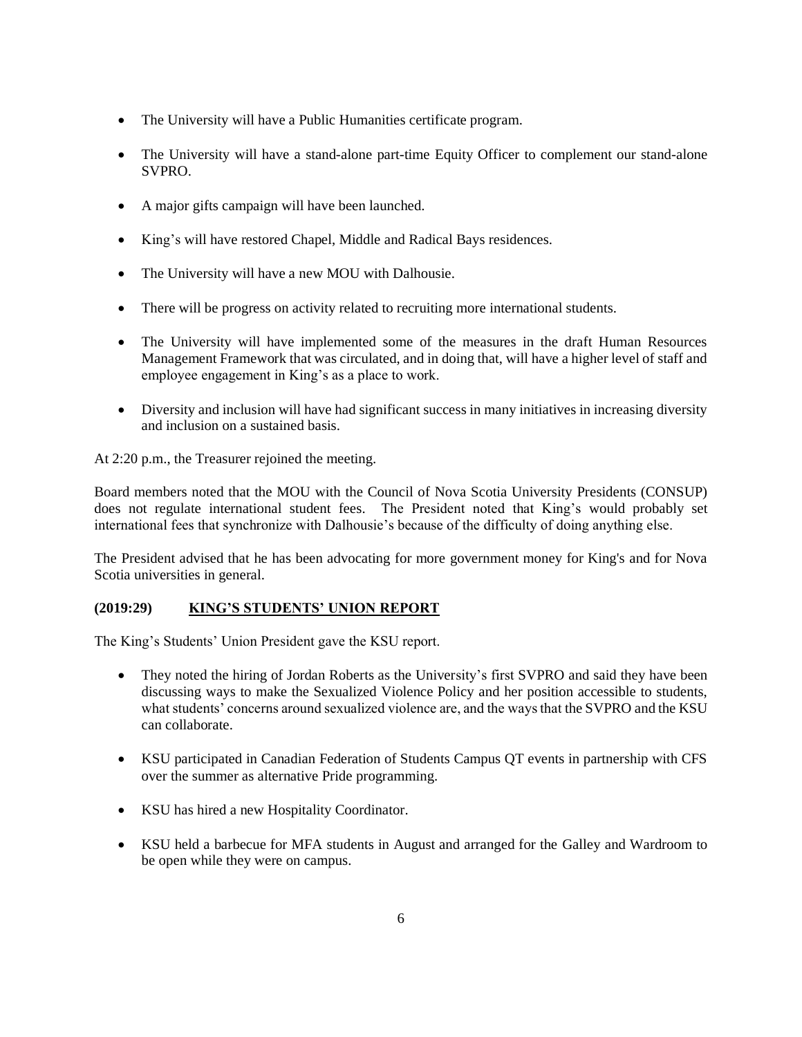- The University will have a Public Humanities certificate program.
- The University will have a stand-alone part-time Equity Officer to complement our stand-alone SVPRO.
- A major gifts campaign will have been launched.
- King's will have restored Chapel, Middle and Radical Bays residences.
- The University will have a new MOU with Dalhousie.
- There will be progress on activity related to recruiting more international students.
- The University will have implemented some of the measures in the draft Human Resources Management Framework that was circulated, and in doing that, will have a higher level of staff and employee engagement in King's as a place to work.
- Diversity and inclusion will have had significant success in many initiatives in increasing diversity and inclusion on a sustained basis.

At 2:20 p.m., the Treasurer rejoined the meeting.

Board members noted that the MOU with the Council of Nova Scotia University Presidents (CONSUP) does not regulate international student fees. The President noted that King's would probably set international fees that synchronize with Dalhousie's because of the difficulty of doing anything else.

The President advised that he has been advocating for more government money for King's and for Nova Scotia universities in general.

# **(2019:29) KING'S STUDENTS' UNION REPORT**

The King's Students' Union President gave the KSU report.

- They noted the hiring of Jordan Roberts as the University's first SVPRO and said they have been discussing ways to make the Sexualized Violence Policy and her position accessible to students, what students' concerns around sexualized violence are, and the ways that the SVPRO and the KSU can collaborate.
- KSU participated in Canadian Federation of Students Campus QT events in partnership with CFS over the summer as alternative Pride programming.
- KSU has hired a new Hospitality Coordinator.
- KSU held a barbecue for MFA students in August and arranged for the Galley and Wardroom to be open while they were on campus.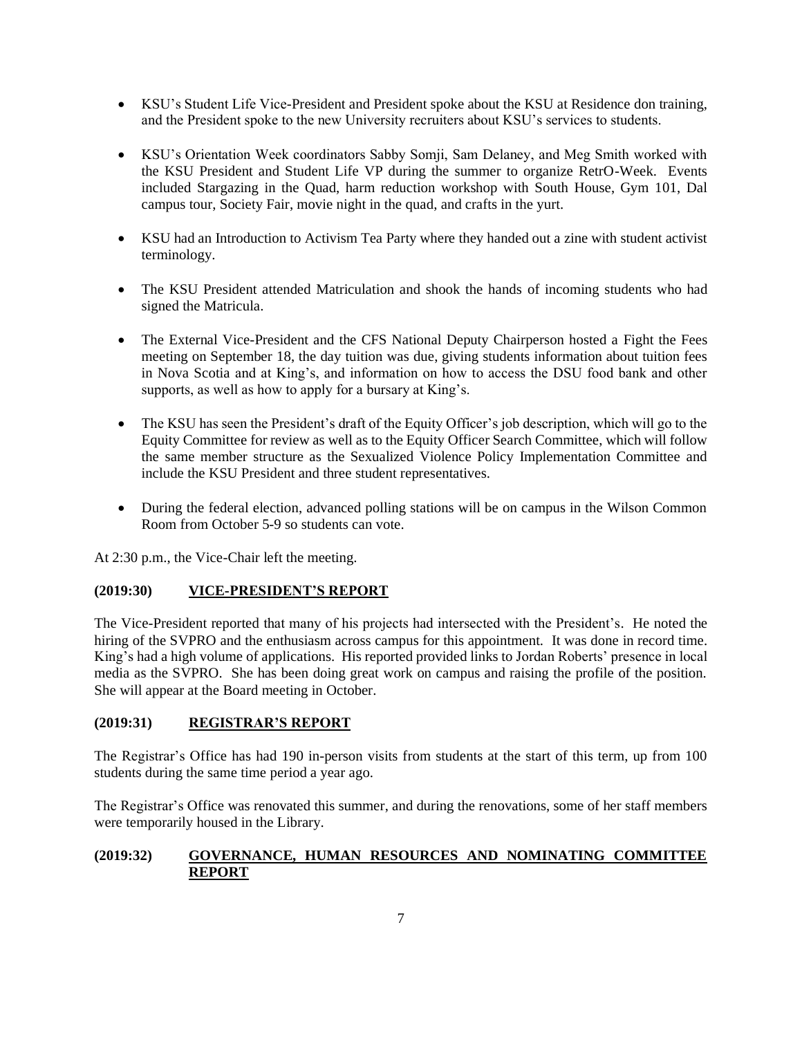- KSU's Student Life Vice-President and President spoke about the KSU at Residence don training, and the President spoke to the new University recruiters about KSU's services to students.
- KSU's Orientation Week coordinators Sabby Somji, Sam Delaney, and Meg Smith worked with the KSU President and Student Life VP during the summer to organize RetrO-Week. Events included Stargazing in the Quad, harm reduction workshop with South House, Gym 101, Dal campus tour, Society Fair, movie night in the quad, and crafts in the yurt.
- KSU had an Introduction to Activism Tea Party where they handed out a zine with student activist terminology.
- The KSU President attended Matriculation and shook the hands of incoming students who had signed the Matricula.
- The External Vice-President and the CFS National Deputy Chairperson hosted a Fight the Fees meeting on September 18, the day tuition was due, giving students information about tuition fees in Nova Scotia and at King's, and information on how to access the DSU food bank and other supports, as well as how to apply for a bursary at King's.
- The KSU has seen the President's draft of the Equity Officer's job description, which will go to the Equity Committee for review as well as to the Equity Officer Search Committee, which will follow the same member structure as the Sexualized Violence Policy Implementation Committee and include the KSU President and three student representatives.
- During the federal election, advanced polling stations will be on campus in the Wilson Common Room from October 5-9 so students can vote.

At 2:30 p.m., the Vice-Chair left the meeting.

## **(2019:30) VICE-PRESIDENT'S REPORT**

The Vice-President reported that many of his projects had intersected with the President's. He noted the hiring of the SVPRO and the enthusiasm across campus for this appointment. It was done in record time. King's had a high volume of applications. His reported provided links to Jordan Roberts' presence in local media as the SVPRO. She has been doing great work on campus and raising the profile of the position. She will appear at the Board meeting in October.

## **(2019:31) REGISTRAR'S REPORT**

The Registrar's Office has had 190 in-person visits from students at the start of this term, up from 100 students during the same time period a year ago.

The Registrar's Office was renovated this summer, and during the renovations, some of her staff members were temporarily housed in the Library.

## **(2019:32) GOVERNANCE, HUMAN RESOURCES AND NOMINATING COMMITTEE REPORT**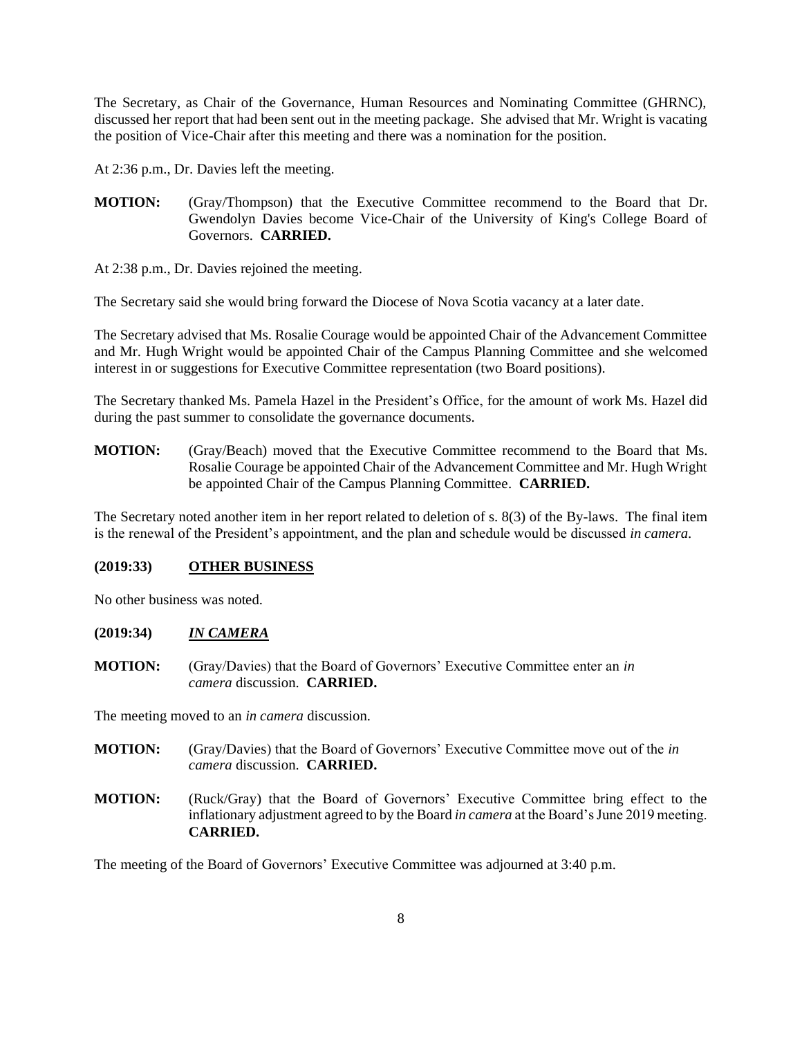The Secretary, as Chair of the Governance, Human Resources and Nominating Committee (GHRNC), discussed her report that had been sent out in the meeting package. She advised that Mr. Wright is vacating the position of Vice-Chair after this meeting and there was a nomination for the position.

At 2:36 p.m., Dr. Davies left the meeting.

**MOTION:** (Gray/Thompson) that the Executive Committee recommend to the Board that Dr. Gwendolyn Davies become Vice-Chair of the University of King's College Board of Governors. **CARRIED.**

At 2:38 p.m., Dr. Davies rejoined the meeting.

The Secretary said she would bring forward the Diocese of Nova Scotia vacancy at a later date.

The Secretary advised that Ms. Rosalie Courage would be appointed Chair of the Advancement Committee and Mr. Hugh Wright would be appointed Chair of the Campus Planning Committee and she welcomed interest in or suggestions for Executive Committee representation (two Board positions).

The Secretary thanked Ms. Pamela Hazel in the President's Office, for the amount of work Ms. Hazel did during the past summer to consolidate the governance documents.

**MOTION:** (Gray/Beach) moved that the Executive Committee recommend to the Board that Ms. Rosalie Courage be appointed Chair of the Advancement Committee and Mr. Hugh Wright be appointed Chair of the Campus Planning Committee. **CARRIED.**

The Secretary noted another item in her report related to deletion of s. 8(3) of the By-laws. The final item is the renewal of the President's appointment, and the plan and schedule would be discussed *in camera*.

#### **(2019:33) OTHER BUSINESS**

No other business was noted.

## **(2019:34)** *IN CAMERA*

**MOTION:** (Gray/Davies) that the Board of Governors' Executive Committee enter an *in camera* discussion. **CARRIED.**

The meeting moved to an *in camera* discussion.

- **MOTION:** (Gray/Davies) that the Board of Governors' Executive Committee move out of the *in camera* discussion. **CARRIED.**
- **MOTION:** (Ruck/Gray) that the Board of Governors' Executive Committee bring effect to the inflationary adjustment agreed to by the Board *in camera* at the Board's June 2019 meeting. **CARRIED.**

The meeting of the Board of Governors' Executive Committee was adjourned at 3:40 p.m.